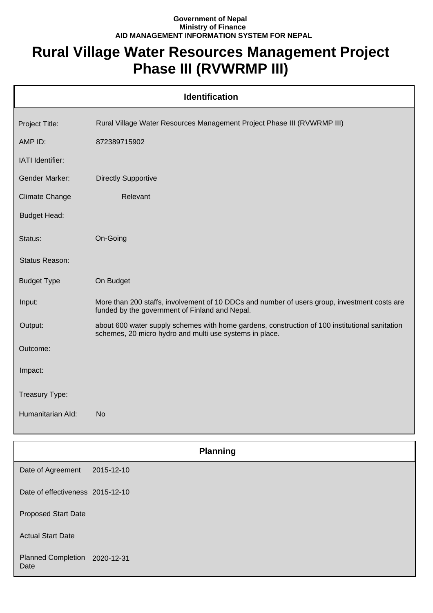## **Government of Nepal Ministry of Finance AID MANAGEMENT INFORMATION SYSTEM FOR NEPAL**

## **Rural Village Water Resources Management Project Phase III (RVWRMP III)**

|                                  | <b>Identification</b>                                                                                                                                     |
|----------------------------------|-----------------------------------------------------------------------------------------------------------------------------------------------------------|
| Project Title:                   | Rural Village Water Resources Management Project Phase III (RVWRMP III)                                                                                   |
| AMP ID:                          | 872389715902                                                                                                                                              |
| IATI Identifier:                 |                                                                                                                                                           |
| <b>Gender Marker:</b>            | <b>Directly Supportive</b>                                                                                                                                |
| <b>Climate Change</b>            | Relevant                                                                                                                                                  |
| <b>Budget Head:</b>              |                                                                                                                                                           |
| Status:                          | On-Going                                                                                                                                                  |
| Status Reason:                   |                                                                                                                                                           |
| <b>Budget Type</b>               | On Budget                                                                                                                                                 |
| Input:                           | More than 200 staffs, involvement of 10 DDCs and number of users group, investment costs are<br>funded by the government of Finland and Nepal.            |
| Output:                          | about 600 water supply schemes with home gardens, construction of 100 institutional sanitation<br>schemes, 20 micro hydro and multi use systems in place. |
| Outcome:                         |                                                                                                                                                           |
| Impact:                          |                                                                                                                                                           |
| Treasury Type:                   |                                                                                                                                                           |
| Humanitarian Ald:                | <b>No</b>                                                                                                                                                 |
|                                  |                                                                                                                                                           |
|                                  | <b>Planning</b>                                                                                                                                           |
| Date of Agreement                | 2015-12-10                                                                                                                                                |
| Date of effectiveness 2015-12-10 |                                                                                                                                                           |
| <b>Proposed Start Date</b>       |                                                                                                                                                           |
| <b>Actual Start Date</b>         |                                                                                                                                                           |

Planned Completion 2020-12-31 Date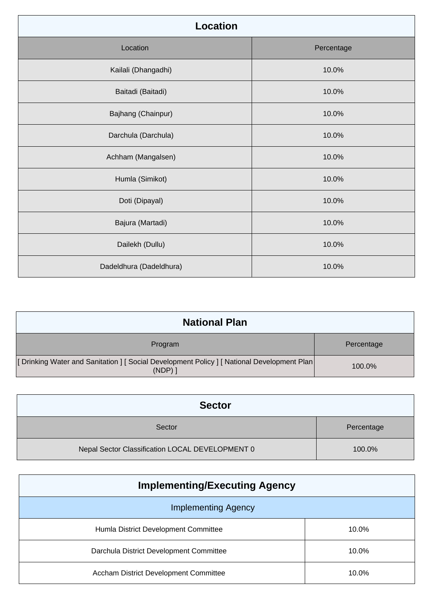| <b>Location</b>         |            |
|-------------------------|------------|
| Location                | Percentage |
| Kailali (Dhangadhi)     | 10.0%      |
| Baitadi (Baitadi)       | 10.0%      |
| Bajhang (Chainpur)      | 10.0%      |
| Darchula (Darchula)     | 10.0%      |
| Achham (Mangalsen)      | 10.0%      |
| Humla (Simikot)         | 10.0%      |
| Doti (Dipayal)          | 10.0%      |
| Bajura (Martadi)        | 10.0%      |
| Dailekh (Dullu)         | 10.0%      |
| Dadeldhura (Dadeldhura) | 10.0%      |

| <b>National Plan</b>                                                                                      |            |
|-----------------------------------------------------------------------------------------------------------|------------|
| Program                                                                                                   | Percentage |
| [Drinking Water and Sanitation ] [ Social Development Policy ] [ National Development Plan  <br>$(NDP)$ ] | 100.0%     |

| <b>Sector</b>                                   |            |
|-------------------------------------------------|------------|
| Sector                                          | Percentage |
| Nepal Sector Classification LOCAL DEVELOPMENT 0 | 100.0%     |

| <b>Implementing/Executing Agency</b>         |       |  |
|----------------------------------------------|-------|--|
| <b>Implementing Agency</b>                   |       |  |
| Humla District Development Committee         | 10.0% |  |
| Darchula District Development Committee      | 10.0% |  |
| <b>Accham District Development Committee</b> | 10.0% |  |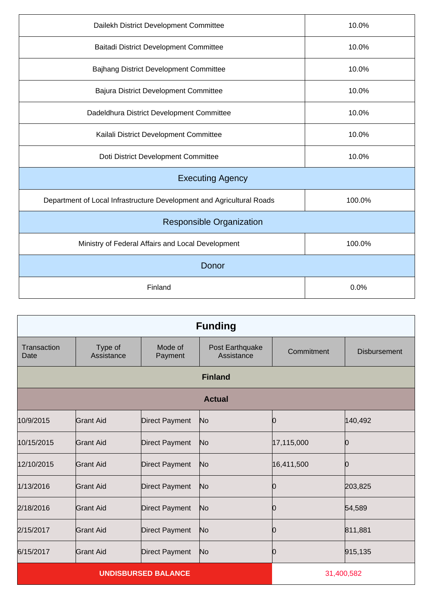| Dailekh District Development Committee                                | 10.0%  |  |  |
|-----------------------------------------------------------------------|--------|--|--|
| <b>Baitadi District Development Committee</b>                         | 10.0%  |  |  |
| Bajhang District Development Committee                                | 10.0%  |  |  |
| <b>Bajura District Development Committee</b>                          | 10.0%  |  |  |
| Dadeldhura District Development Committee                             | 10.0%  |  |  |
| Kailali District Development Committee                                | 10.0%  |  |  |
| Doti District Development Committee                                   | 10.0%  |  |  |
| <b>Executing Agency</b>                                               |        |  |  |
| Department of Local Infrastructure Development and Agricultural Roads | 100.0% |  |  |
| <b>Responsible Organization</b>                                       |        |  |  |
| Ministry of Federal Affairs and Local Development                     | 100.0% |  |  |
| Donor                                                                 |        |  |  |
| Finland                                                               | 0.0%   |  |  |

| <b>Funding</b>             |                       |                       |                               |            |                     |
|----------------------------|-----------------------|-----------------------|-------------------------------|------------|---------------------|
| Transaction<br>Date        | Type of<br>Assistance | Mode of<br>Payment    | Post Earthquake<br>Assistance | Commitment | <b>Disbursement</b> |
|                            |                       |                       | <b>Finland</b>                |            |                     |
|                            |                       |                       | <b>Actual</b>                 |            |                     |
| 10/9/2015                  | <b>Grant Aid</b>      | <b>Direct Payment</b> | No                            | 10         | 140,492             |
| 10/15/2015                 | <b>Grant Aid</b>      | <b>Direct Payment</b> | No                            | 17,115,000 | Ю                   |
| 12/10/2015                 | <b>Grant Aid</b>      | <b>Direct Payment</b> | No                            | 16,411,500 | Ŋ                   |
| 1/13/2016                  | <b>Grant Aid</b>      | <b>Direct Payment</b> | No                            | O          | 203,825             |
| 2/18/2016                  | <b>Grant Aid</b>      | <b>Direct Payment</b> | No                            | 0          | 54,589              |
| 2/15/2017                  | <b>Grant Aid</b>      | <b>Direct Payment</b> | No                            | Ю          | 811,881             |
| 6/15/2017                  | <b>Grant Aid</b>      | <b>Direct Payment</b> | N <sub>o</sub>                | Ŋ          | 915,135             |
| <b>UNDISBURSED BALANCE</b> |                       |                       |                               | 31,400,582 |                     |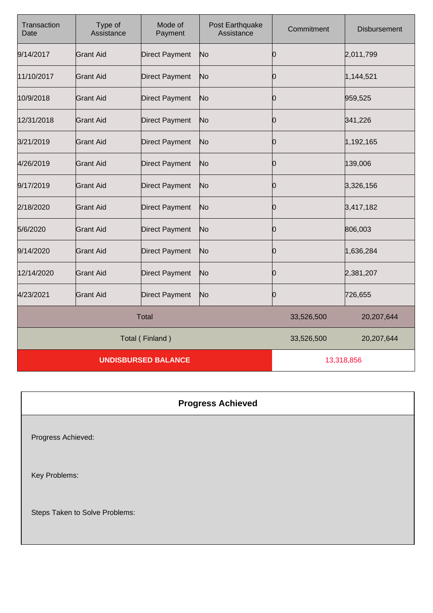| Transaction<br>Date        | Type of<br>Assistance | Mode of<br>Payment    | Post Earthquake<br>Assistance | Commitment | <b>Disbursement</b> |
|----------------------------|-----------------------|-----------------------|-------------------------------|------------|---------------------|
| 9/14/2017                  | <b>Grant Aid</b>      | <b>Direct Payment</b> | No                            | Ю          | 2,011,799           |
| 11/10/2017                 | <b>Grant Aid</b>      | <b>Direct Payment</b> | No                            | 10         | 1,144,521           |
| 10/9/2018                  | <b>Grant Aid</b>      | <b>Direct Payment</b> | No                            | Ю          | 959,525             |
| 12/31/2018                 | <b>Grant Aid</b>      | <b>Direct Payment</b> | No                            | Ю          | 341,226             |
| 3/21/2019                  | <b>Grant Aid</b>      | <b>Direct Payment</b> | No                            | 10         | 1,192,165           |
| 4/26/2019                  | <b>Grant Aid</b>      | <b>Direct Payment</b> | No                            | Ŋ          | 139,006             |
| 9/17/2019                  | <b>Grant Aid</b>      | <b>Direct Payment</b> | No                            | Ю          | 3,326,156           |
| 2/18/2020                  | <b>Grant Aid</b>      | <b>Direct Payment</b> | No                            | 0          | 3,417,182           |
| 5/6/2020                   | Grant Aid             | <b>Direct Payment</b> | No                            | Ю          | 806,003             |
| 9/14/2020                  | <b>Grant Aid</b>      | <b>Direct Payment</b> | No                            | 10         | 1,636,284           |
| 12/14/2020                 | <b>Grant Aid</b>      | <b>Direct Payment</b> | No                            | 10         | 2,381,207           |
| 4/23/2021                  | <b>Grant Aid</b>      | <b>Direct Payment</b> | No                            | 10         | 726,655             |
| <b>Total</b>               |                       |                       | 33,526,500                    | 20,207,644 |                     |
| Total (Finland)            |                       |                       | 33,526,500                    | 20,207,644 |                     |
| <b>UNDISBURSED BALANCE</b> |                       |                       | 13,318,856                    |            |                     |

## **Progress Achieved**

Progress Achieved:

Key Problems:

Steps Taken to Solve Problems: